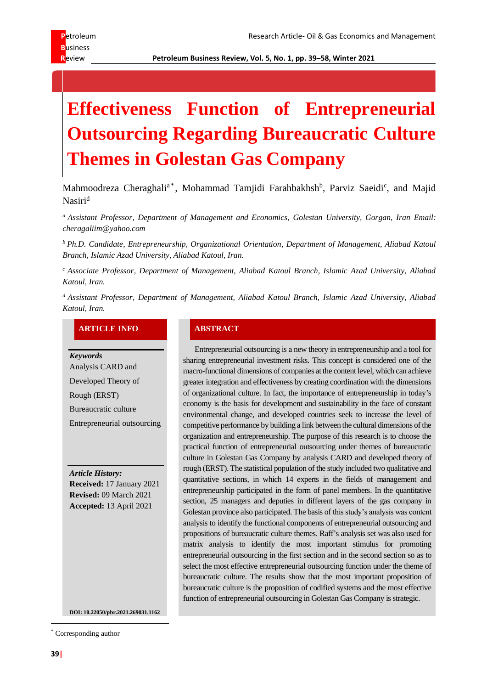**R**eview **Petroleum Business Review, Vol. 5, No. 1, pp. 39–58, Winter 2021**

# **Effectiveness Function of Entrepreneurial Outsourcing Regarding Bureaucratic Culture Themes in Golestan Gas Company**

Mahmoodreza Cheraghali<sup>a\*</sup>, Mohammad Tamjidi Farahbakhsh<sup>b</sup>, Parviz Saeidi<sup>c</sup>, and Majid Nasiri<sup>d</sup>

*<sup>a</sup> Assistant Professor, Department of Management and Economics, Golestan University, Gorgan, Iran Email: cheragaliim@yahoo.com*

*<sup>b</sup> Ph.D. Candidate, Entrepreneurship, Organizational Orientation, Department of Management, Aliabad Katoul Branch, Islamic Azad University, Aliabad Katoul, Iran.* 

*<sup>c</sup> Associate Professor, Department of Management, Aliabad Katoul Branch, Islamic Azad University, Aliabad Katoul, Iran.*

*<sup>d</sup> Assistant Professor, Department of Management, Aliabad Katoul Branch, Islamic Azad University, Aliabad Katoul, Iran.*

### **ARTICLE INFO ABSTRACT**

*Keywords* Analysis CARD and Developed Theory of Rough (ERST) Bureaucratic culture Entrepreneurial outsourcing

*Article History:* **Received:** 17 January 2021 **Revised:** 09 March 2021 **Accepted:** 13 April 2021

Entrepreneurial outsourcing is a new theory in entrepreneurship and a tool for sharing entrepreneurial investment risks. This concept is considered one of the macro-functional dimensions of companies at the content level, which can achieve greater integration and effectiveness by creating coordination with the dimensions of organizational culture. In fact, the importance of entrepreneurship in today's economy is the basis for development and sustainability in the face of constant environmental change, and developed countries seek to increase the level of competitive performance by building a link between the cultural dimensions of the organization and entrepreneurship. The purpose of this research is to choose the practical function of entrepreneurial outsourcing under themes of bureaucratic culture in Golestan Gas Company by analysis CARD and developed theory of rough (ERST). The statistical population of the study included two qualitative and quantitative sections, in which 14 experts in the fields of management and entrepreneurship participated in the form of panel members. In the quantitative section, 25 managers and deputies in different layers of the gas company in Golestan province also participated. The basis of this study's analysis was content analysis to identify the functional components of entrepreneurial outsourcing and propositions of bureaucratic culture themes. Raff's analysis set was also used for matrix analysis to identify the most important stimulus for promoting entrepreneurial outsourcing in the first section and in the second section so as to select the most effective entrepreneurial outsourcing function under the theme of bureaucratic culture. The results show that the most important proposition of bureaucratic culture is the proposition of codified systems and the most effective function of entrepreneurial outsourcing in Golestan Gas Company is strategic.

**DOI: 10.22050/pbr.2021.269031.1162**

<sup>\*</sup> Corresponding author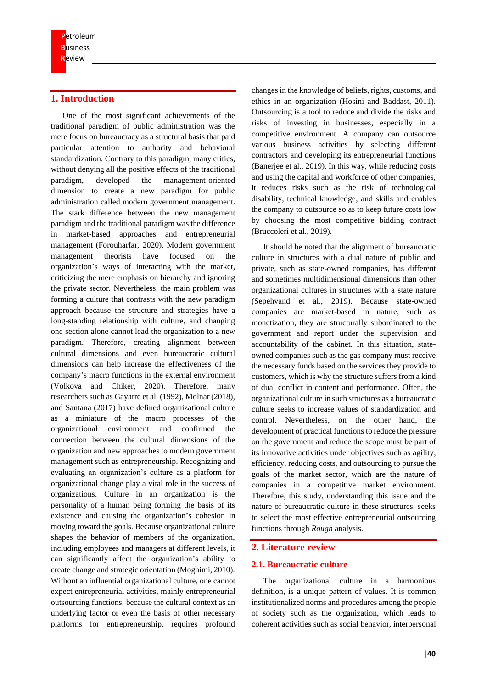# **1. Introduction**

One of the most significant achievements of the traditional paradigm of public administration was the mere focus on bureaucracy as a structural basis that paid particular attention to authority and behavioral standardization. Contrary to this paradigm, many critics, without denying all the positive effects of the traditional paradigm, developed the management-oriented dimension to create a new paradigm for public administration called modern government management. The stark difference between the new management paradigm and the traditional paradigm was the difference in market-based approaches and entrepreneurial management (Forouharfar, 2020). Modern government management theorists have focused on the organization's ways of interacting with the market, criticizing the mere emphasis on hierarchy and ignoring the private sector. Nevertheless, the main problem was forming a culture that contrasts with the new paradigm approach because the structure and strategies have a long-standing relationship with culture, and changing one section alone cannot lead the organization to a new paradigm. Therefore, creating alignment between cultural dimensions and even bureaucratic cultural dimensions can help increase the effectiveness of the company's macro functions in the external environment (Volkova and Chiker, 2020). Therefore, many researchers such as Gayarre et al. (1992), Molnar (2018), and Santana (2017) have defined organizational culture as a miniature of the macro processes of the organizational environment and confirmed the connection between the cultural dimensions of the organization and new approaches to modern government management such as entrepreneurship. Recognizing and evaluating an organization's culture as a platform for organizational change play a vital role in the success of organizations. Culture in an organization is the personality of a human being forming the basis of its existence and causing the organization's cohesion in moving toward the goals. Because organizational culture shapes the behavior of members of the organization, including employees and managers at different levels, it can significantly affect the organization's ability to create change and strategic orientation (Moghimi, 2010). Without an influential organizational culture, one cannot expect entrepreneurial activities, mainly entrepreneurial outsourcing functions, because the cultural context as an underlying factor or even the basis of other necessary platforms for entrepreneurship, requires profound

changes in the knowledge of beliefs, rights, customs, and ethics in an organization (Hosini and Baddast, 2011). Outsourcing is a tool to reduce and divide the risks and risks of investing in businesses, especially in a competitive environment. A company can outsource various business activities by selecting different contractors and developing its entrepreneurial functions (Banerjee et al., 2019). In this way, while reducing costs and using the capital and workforce of other companies, it reduces risks such as the risk of technological disability, technical knowledge, and skills and enables the company to outsource so as to keep future costs low by choosing the most competitive bidding contract (Bruccoleri et al., 2019).

It should be noted that the alignment of bureaucratic culture in structures with a dual nature of public and private, such as state-owned companies, has different and sometimes multidimensional dimensions than other organizational cultures in structures with a state nature (Sepehvand et al., 2019). Because state-owned companies are market-based in nature, such as monetization, they are structurally subordinated to the government and report under the supervision and accountability of the cabinet. In this situation, stateowned companies such as the gas company must receive the necessary funds based on the services they provide to customers, which is why the structure suffers from a kind of dual conflict in content and performance. Often, the organizational culture in such structures as a bureaucratic culture seeks to increase values of standardization and control. Nevertheless, on the other hand, the development of practical functions to reduce the pressure on the government and reduce the scope must be part of its innovative activities under objectives such as agility, efficiency, reducing costs, and outsourcing to pursue the goals of the market sector, which are the nature of companies in a competitive market environment. Therefore, this study, understanding this issue and the nature of bureaucratic culture in these structures, seeks to select the most effective entrepreneurial outsourcing functions through *Rough* analysis.

#### **2. Literature review**

## **2.1. Bureaucratic culture**

The organizational culture in a harmonious definition, is a unique pattern of values. It is common institutionalized norms and procedures among the people of society such as the organization, which leads to coherent activities such as social behavior, interpersonal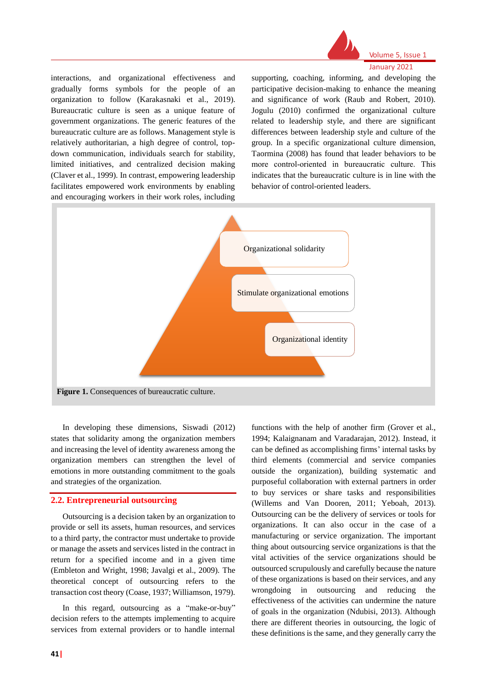

#### Volume 5, Issue 1 January 2021

interactions, and organizational effectiveness and gradually forms symbols for the people of an organization to follow (Karakasnaki et al., 2019). Bureaucratic culture is seen as a unique feature of government organizations. The generic features of the bureaucratic culture are as follows. Management style is relatively authoritarian, a high degree of control, topdown communication, individuals search for stability, limited initiatives, and centralized decision making (Claver et al., 1999). In contrast, empowering leadership facilitates empowered work environments by enabling and encouraging workers in their work roles, including

supporting, coaching, informing, and developing the participative decision-making to enhance the meaning and significance of work (Raub and Robert, 2010). Jogulu (2010) confirmed the organizational culture related to leadership style, and there are significant differences between leadership style and culture of the group. In a specific organizational culture dimension, Taormina (2008) has found that leader behaviors to be more control-oriented in bureaucratic culture. This indicates that the bureaucratic culture is in line with the behavior of control-oriented leaders.



In developing these dimensions, Siswadi (2012) states that solidarity among the organization members and increasing the level of identity awareness among the organization members can strengthen the level of emotions in more outstanding commitment to the goals and strategies of the organization.

#### **2.2. Entrepreneurial outsourcing**

Outsourcing is a decision taken by an organization to provide or sell its assets, human resources, and services to a third party, the contractor must undertake to provide or manage the assets and services listed in the contract in return for a specified income and in a given time (Embleton and Wright, 1998; Javalgi et al., 2009). The theoretical concept of outsourcing refers to the transaction cost theory (Coase, 1937; Williamson, 1979).

In this regard, outsourcing as a "make-or-buy" decision refers to the attempts implementing to acquire services from external providers or to handle internal 1994; Kalaignanam and Varadarajan, 2012). Instead, it can be defined as accomplishing firms' internal tasks by third elements (commercial and service companies outside the organization), building systematic and purposeful collaboration with external partners in order to buy services or share tasks and responsibilities (Willems and Van Dooren, 2011; Yeboah, 2013). Outsourcing can be the delivery of services or tools for organizations. It can also occur in the case of a manufacturing or service organization. The important thing about outsourcing service organizations is that the vital activities of the service organizations should be outsourced scrupulously and carefully because the nature of these organizations is based on their services, and any wrongdoing in outsourcing and reducing the effectiveness of the activities can undermine the nature of goals in the organization (Ndubisi, 2013). Although there are different theories in outsourcing, the logic of these definitions is the same, and they generally carry the

functions with the help of another firm (Grover et al.,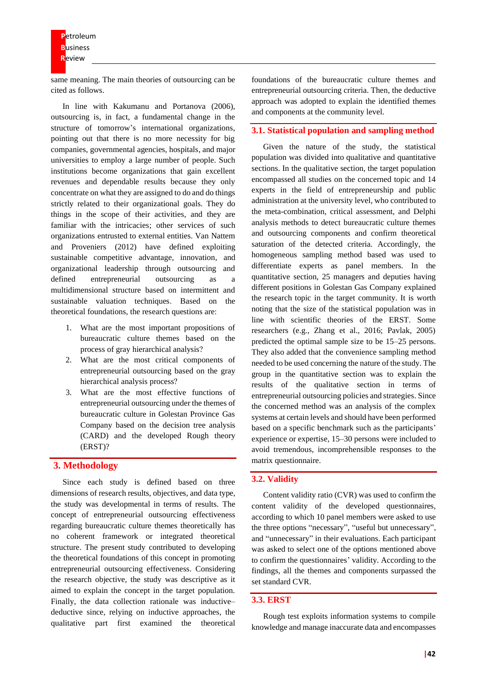same meaning. The main theories of outsourcing can be cited as follows.

In line with Kakumanu and Portanova (2006), outsourcing is, in fact, a fundamental change in the structure of tomorrow's international organizations, pointing out that there is no more necessity for big companies, governmental agencies, hospitals, and major universities to employ a large number of people. Such institutions become organizations that gain excellent revenues and dependable results because they only concentrate on what they are assigned to do and do things strictly related to their organizational goals. They do things in the scope of their activities, and they are familiar with the intricacies; other services of such organizations entrusted to external entities. Van Nattem and Proveniers (2012) have defined exploiting sustainable competitive advantage, innovation, and organizational leadership through outsourcing and defined entrepreneurial outsourcing as a multidimensional structure based on intermittent and sustainable valuation techniques. Based on the theoretical foundations, the research questions are :

- 1. What are the most important propositions of bureaucratic culture themes based on the process of gray hierarchical analysis ?
- 2. What are the most critical components of entrepreneurial outsourcing based on the gray hierarchical analysis process?
- 3. What are the most effective functions of entrepreneurial outsourcing under the themes of bureaucratic culture in Golestan Province Gas Company based on the decision tree analysis (CARD) and the developed Rough theory (ERST)?

# **3. Methodology**

Since each study is defined based on three dimensions of research results, objectives, and data type, the study was developmental in terms of results. The concept of entrepreneurial outsourcing effectiveness regarding bureaucratic culture themes theoretically has no coherent framework or integrated theoretical structure. The present study contributed to developing the theoretical foundations of this concept in promoting entrepreneurial outsourcing effectiveness. Considering the research objective, the study was descriptive as it aimed to explain the concept in the target population. Finally, the data collection rationale was inductive– deductive since, relying on inductive approaches, the qualitative part first examined the theoretical foundations of the bureaucratic culture themes and entrepreneurial outsourcing criteria. Then, the deductive approach was adopted to explain the identified themes and components at the community level.

#### **3.1. Statistical population and sampling method**

Given the nature of the study, the statistical population was divided into qualitative and quantitative sections. In the qualitative section, the target population encompassed all studies on the concerned topic and 14 experts in the field of entrepreneurship and public administration at the university level, who contributed to the meta-combination, critical assessment, and Delphi analysis methods to detect bureaucratic culture themes and outsourcing components and confirm theoretical saturation of the detected criteria. Accordingly, the homogeneous sampling method based was used to differentiate experts as panel members. In the quantitative section, 25 managers and deputies having different positions in Golestan Gas Company explained the research topic in the target community. It is worth noting that the size of the statistical population was in line with scientific theories of the ERST. Some researchers (e.g., Zhang et al., 2016; Pavlak, 2005) predicted the optimal sample size to be 15–25 persons. They also added that the convenience sampling method needed to be used concerning the nature of the study. The group in the quantitative section was to explain the results of the qualitative section in terms of entrepreneurial outsourcing policies and strategies. Since the concerned method was an analysis of the complex systems at certain levels and should have been performed based on a specific benchmark such as the participants' experience or expertise, 15–30 persons were included to avoid tremendous, incomprehensible responses to the matrix questionnaire.

#### **3.2. Validity**

Content validity ratio (CVR) was used to confirm the content validity of the developed questionnaires, according to which 10 panel members were asked to use the three options "necessary", "useful but unnecessary", and "unnecessary" in their evaluations. Each participant was asked to select one of the options mentioned above to confirm the questionnaires' validity. According to the findings, all the themes and components surpassed the set standard CVR.

#### **3.3. ERST**

Rough test exploits information systems to compile knowledge and manage inaccurate data and encompasses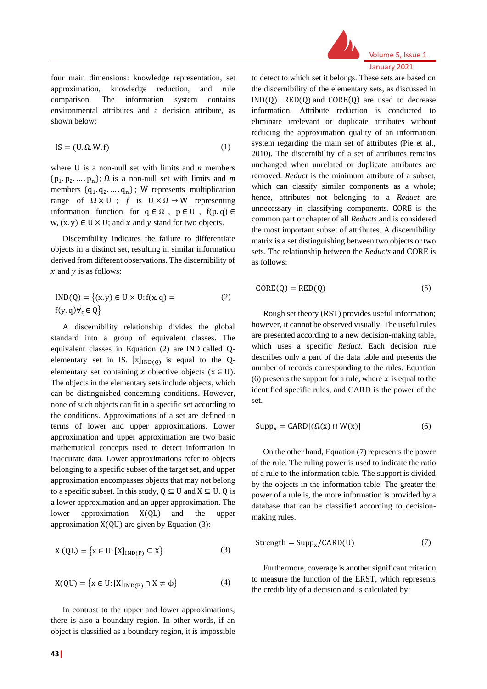

Volume 5, Issue 1 January 2021

four main dimensions: knowledge representation, set approximation, knowledge reduction, and rule comparison. The information system contains environmental attributes and a decision attribute, as shown below:

$$
IS = (U, \Omega, W, f) \tag{1}
$$

where U is a non-null set with limits and *n* members  $\{p_1, p_2, \ldots, p_n\}$ ;  $\Omega$  is a non-null set with limits and *m* members  $\{q_1, q_2, \ldots, q_n\}$ ; W represents multiplication range of Ω × U ; *f* is U × Ω → W representing information function for  $q \in \Omega$ ,  $p \in U$ ,  $f(p,q) \in$  $w, (x, y) \in U \times U$ ; and x and y stand for two objects.

Discernibility indicates the failure to differentiate objects in a distinct set, resulting in similar information derived from different observations. The discernibility of  $x$  and  $y$  is as follows:

$$
IND(Q) = \{(x, y) \in U \times U : f(x, q) =
$$
  
f(y, q) $\forall_q \in Q\}$  (2)

A discernibility relationship divides the global standard into a group of equivalent classes. The equivalent classes in Equation (2) are IND called Qelementary set in IS.  $[x]_{IND(Q)}$  is equal to the Qelementary set containing x objective objects ( $x \in U$ ). The objects in the elementary sets include objects, which can be distinguished concerning conditions. However, none of such objects can fit in a specific set according to the conditions. Approximations of a set are defined in terms of lower and upper approximations. Lower approximation and upper approximation are two basic mathematical concepts used to detect information in inaccurate data. Lower approximations refer to objects belonging to a specific subset of the target set, and upper approximation encompasses objects that may not belong to a specific subset. In this study,  $Q \subseteq U$  and  $X \subseteq U$ . Q is a lower approximation and an upper approximation. The lower approximation X(QL) and the upper approximation  $X(QU)$  are given by Equation (3):

$$
X \text{ (QL)} = \{x \in U: [X]_{IND(P)} \subseteq X\} \tag{3}
$$

$$
X(\text{QU}) = \{x \in U: [X]_{\text{IND}(P)} \cap X \neq \phi\}
$$
(4)

In contrast to the upper and lower approximations, there is also a boundary region. In other words, if an object is classified as a boundary region, it is impossible to detect to which set it belongs. These sets are based on the discernibility of the elementary sets, as discussed in  $IND(Q)$ .  $RED(Q)$  and  $CORE(Q)$  are used to decrease information. Attribute reduction is conducted to eliminate irrelevant or duplicate attributes without reducing the approximation quality of an information system regarding the main set of attributes (Pie et al., 2010). The discernibility of a set of attributes remains unchanged when unrelated or duplicate attributes are removed. *Reduct* is the minimum attribute of a subset, which can classify similar components as a whole; hence, attributes not belonging to a *Reduct* are unnecessary in classifying components. CORE is the common part or chapter of all *Reducts* and is considered the most important subset of attributes. A discernibility matrix is a set distinguishing between two objects or two sets. The relationship between the *Reducts* and CORE is as follows:

$$
CORE(Q) = RED(Q)
$$
 (5)

Rough set theory (RST) provides useful information; however, it cannot be observed visually. The useful rules are presented according to a new decision-making table, which uses a specific *Reduct*. Each decision rule describes only a part of the data table and presents the number of records corresponding to the rules. Equation (6) presents the support for a rule, where  $x$  is equal to the identified specific rules, and CARD is the power of the set.

$$
Supp_x = CARD[(\Omega(x) \cap W(x)] \tag{6}
$$

On the other hand, Equation (7) represents the power of the rule. The ruling power is used to indicate the ratio of a rule to the information table. The support is divided by the objects in the information table. The greater the power of a rule is, the more information is provided by a database that can be classified according to decisionmaking rules.

$$
Strength = Supp_x / CARD(U)
$$
 (7)

Furthermore, coverage is another significant criterion to measure the function of the ERST, which represents the credibility of a decision and is calculated by: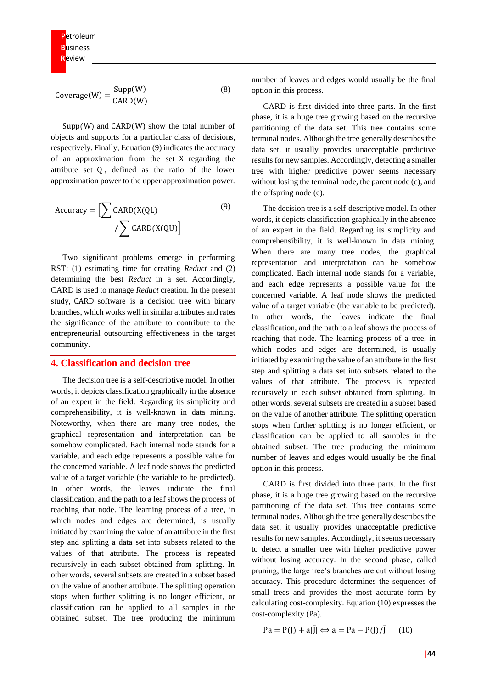$$
Coverage(W) = \frac{Supp(W)}{CARD(W)} \tag{8}
$$

Supp(W) and CARD(W) show the total number of objects and supports for a particular class of decisions, respectively. Finally, Equation (9) indicates the accuracy of an approximation from the set X regarding the attribute set Q , defined as the ratio of the lower approximation power to the upper approximation power.

$$
Accuracy = \left[ \sum CARD(X(QL) \right] \tag{9}
$$
\n
$$
/ \sum CARD(X(QU)
$$

Two significant problems emerge in performing RST: (1) estimating time for creating *Reduct* and (2) determining the best *Reduct* in a set. Accordingly, CARD is used to manage *Reduct* creation. In the present study, CARD software is a decision tree with binary branches, which works well in similar attributes and rates the significance of the attribute to contribute to the entrepreneurial outsourcing effectiveness in the target community.

#### **4. Classification and decision tree**

The decision tree is a self-descriptive model. In other words, it depicts classification graphically in the absence of an expert in the field. Regarding its simplicity and comprehensibility, it is well-known in data mining. Noteworthy, when there are many tree nodes, the graphical representation and interpretation can be somehow complicated. Each internal node stands for a variable, and each edge represents a possible value for the concerned variable. A leaf node shows the predicted value of a target variable (the variable to be predicted). In other words, the leaves indicate the final classification, and the path to a leaf shows the process of reaching that node. The learning process of a tree, in which nodes and edges are determined, is usually initiated by examining the value of an attribute in the first step and splitting a data set into subsets related to the values of that attribute. The process is repeated recursively in each subset obtained from splitting. In other words, several subsets are created in a subset based on the value of another attribute. The splitting operation stops when further splitting is no longer efficient, or classification can be applied to all samples in the obtained subset. The tree producing the minimum

number of leaves and edges would usually be the final option in this process.

CARD is first divided into three parts. In the first phase, it is a huge tree growing based on the recursive partitioning of the data set. This tree contains some terminal nodes. Although the tree generally describes the data set, it usually provides unacceptable predictive results for new samples. Accordingly, detecting a smaller tree with higher predictive power seems necessary without losing the terminal node, the parent node (c), and the offspring node (e).

The decision tree is a self-descriptive model. In other words, it depicts classification graphically in the absence of an expert in the field. Regarding its simplicity and comprehensibility, it is well-known in data mining. When there are many tree nodes, the graphical representation and interpretation can be somehow complicated. Each internal node stands for a variable, and each edge represents a possible value for the concerned variable. A leaf node shows the predicted value of a target variable (the variable to be predicted). In other words, the leaves indicate the final classification, and the path to a leaf shows the process of reaching that node. The learning process of a tree, in which nodes and edges are determined, is usually initiated by examining the value of an attribute in the first step and splitting a data set into subsets related to the values of that attribute. The process is repeated recursively in each subset obtained from splitting. In other words, several subsets are created in a subset based on the value of another attribute. The splitting operation stops when further splitting is no longer efficient, or classification can be applied to all samples in the obtained subset. The tree producing the minimum number of leaves and edges would usually be the final option in this process.

CARD is first divided into three parts. In the first phase, it is a huge tree growing based on the recursive partitioning of the data set. This tree contains some terminal nodes. Although the tree generally describes the data set, it usually provides unacceptable predictive results for new samples. Accordingly, it seems necessary to detect a smaller tree with higher predictive power without losing accuracy. In the second phase, called pruning, the large tree's branches are cut without losing accuracy. This procedure determines the sequences of small trees and provides the most accurate form by calculating cost-complexity. Equation (10) expresses the cost-complexity (Pa).

 $Pa = P(I) + a|\overline{I}| \Leftrightarrow a = Pa - P(I)/\overline{I}$  $(10)$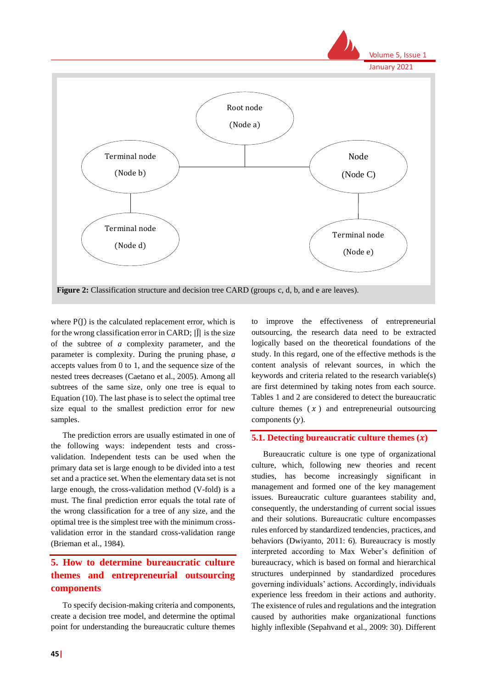

where  $P(I)$  is the calculated replacement error, which is for the wrong classification error in CARD;  $|\bar{J}|$  is the size of the subtree of *a* complexity parameter, and the parameter is complexity. During the pruning phase, *a* accepts values from 0 to 1, and the sequence size of the nested trees decreases (Caetano et al., 2005). Among all subtrees of the same size, only one tree is equal to Equation (10). The last phase is to select the optimal tree size equal to the smallest prediction error for new samples.

The prediction errors are usually estimated in one of the following ways: independent tests and crossvalidation. Independent tests can be used when the primary data set is large enough to be divided into a test set and a practice set. When the elementary data set is not large enough, the cross-validation method (V-fold) is a must. The final prediction error equals the total rate of the wrong classification for a tree of any size, and the optimal tree is the simplest tree with the minimum crossvalidation error in the standard cross-validation range (Brieman et al., 1984).

# **5. How to determine bureaucratic culture themes and entrepreneurial outsourcing components**

To specify decision-making criteria and components, create a decision tree model, and determine the optimal point for understanding the bureaucratic culture themes

to improve the effectiveness of entrepreneurial outsourcing, the research data need to be extracted logically based on the theoretical foundations of the study. In this regard, one of the effective methods is the content analysis of relevant sources, in which the keywords and criteria related to the research variable(s) are first determined by taking notes from each source. Tables 1 and 2 are considered to detect the bureaucratic culture themes  $(x)$  and entrepreneurial outsourcing components  $(y)$ .

#### **5.1. Detecting bureaucratic culture themes**  $(x)$

Bureaucratic culture is one type of organizational culture, which, following new theories and recent studies, has become increasingly significant in management and formed one of the key management issues. Bureaucratic culture guarantees stability and, consequently, the understanding of current social issues and their solutions. Bureaucratic culture encompasses rules enforced by standardized tendencies, practices, and behaviors (Dwiyanto, 2011: 6). Bureaucracy is mostly interpreted according to Max Weber's definition of bureaucracy, which is based on formal and hierarchical structures underpinned by standardized procedures governing individuals' actions. Accordingly, individuals experience less freedom in their actions and authority. The existence of rules and regulations and the integration caused by authorities make organizational functions highly inflexible (Sepahvand et al., 2009: 30). Different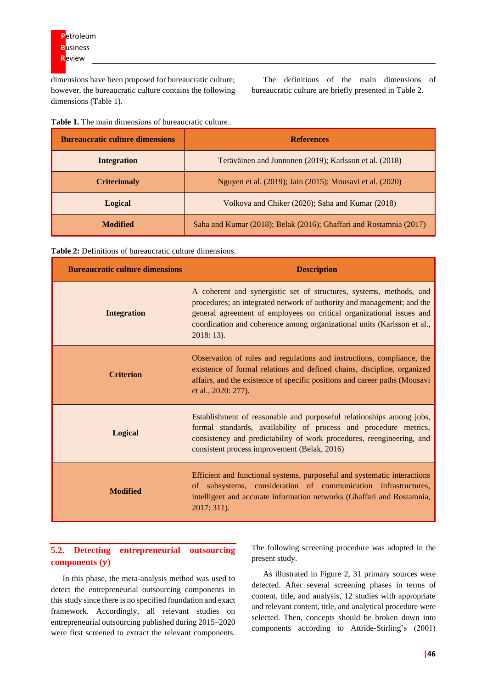dimensions have been proposed for bureaucratic culture; however, the bureaucratic culture contains the following dimensions (Table 1).

The definitions of the main dimensions of bureaucratic culture are briefly presented in Table 2.

| <b>Table 1.</b> The main dimensions of bureaucratic culture. |
|--------------------------------------------------------------|
|--------------------------------------------------------------|

| <b>Bureaucratic culture dimensions</b> | <b>References</b>                                                  |
|----------------------------------------|--------------------------------------------------------------------|
| Integration                            | Teräväinen and Junnonen (2019); Karlsson et al. (2018)             |
| <b>Criterionaly</b>                    | Nguyen et al. (2019); Jain (2015); Mousavi et al. (2020)           |
| <b>Logical</b>                         | Volkova and Chiker (2020); Saha and Kumar (2018)                   |
| Modified                               | Saha and Kumar (2018); Belak (2016); Ghaffari and Rostamnia (2017) |

| <b>Table 2:</b> Definitions of bureaucratic culture dimensions. |  |  |  |  |  |  |  |  |
|-----------------------------------------------------------------|--|--|--|--|--|--|--|--|
|                                                                 |  |  |  |  |  |  |  |  |

| <b>Bureaucratic culture dimensions</b> | <b>Description</b>                                                                                                                                                                                                                                                                                               |
|----------------------------------------|------------------------------------------------------------------------------------------------------------------------------------------------------------------------------------------------------------------------------------------------------------------------------------------------------------------|
| <b>Integration</b>                     | A coherent and synergistic set of structures, systems, methods, and<br>procedures; an integrated network of authority and management; and the<br>general agreement of employees on critical organizational issues and<br>coordination and coherence among organizational units (Karlsson et al.,<br>$2018:13$ ). |
| <b>Criterion</b>                       | Observation of rules and regulations and instructions, compliance, the<br>existence of formal relations and defined chains, discipline, organized<br>affairs, and the existence of specific positions and career paths (Mousavi<br>et al., 2020: 277).                                                           |
| <b>Logical</b>                         | Establishment of reasonable and purposeful relationships among jobs,<br>formal standards, availability of process and procedure metrics,<br>consistency and predictability of work procedures, reengineering, and<br>consistent process improvement (Belak, 2016)                                                |
| <b>Modified</b>                        | Efficient and functional systems, purposeful and systematic interactions<br>of subsystems, consideration of communication infrastructures,<br>intelligent and accurate information networks (Ghaffari and Rostamnia,<br>2017: 311).                                                                              |

# **5.2. Detecting entrepreneurial outsourcing components ()**

In this phase, the meta-analysis method was used to detect the entrepreneurial outsourcing components in this study since there is no specified foundation and exact framework. Accordingly, all relevant studies on entrepreneurial outsourcing published during 2015–2020 were first screened to extract the relevant components.

The following screening procedure was adopted in the present study.

As illustrated in Figure 2, 31 primary sources were detected. After several screening phases in terms of content, title, and analysis, 12 studies with appropriate and relevant content, title, and analytical procedure were selected. Then, concepts should be broken down into components according to Attride-Stirling's (2001)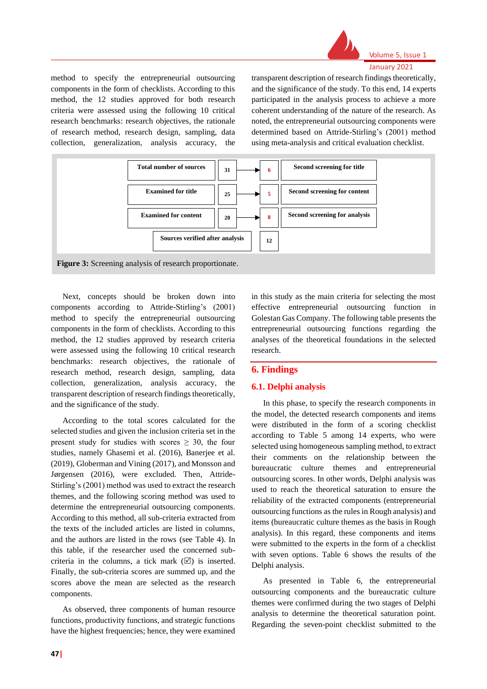

method to specify the entrepreneurial outsourcing components in the form of checklists. According to this method, the 12 studies approved for both research criteria were assessed using the following 10 critical research benchmarks: research objectives, the rationale of research method, research design, sampling, data collection, generalization, analysis accuracy, the

transparent description of research findings theoretically, and the significance of the study. To this end, 14 experts participated in the analysis process to achieve a more coherent understanding of the nature of the research. As noted, the entrepreneurial outsourcing components were determined based on Attride-Stirling's (2001) method using meta-analysis and critical evaluation checklist.



**Figure 3:** Screening analysis of research proportionate.

Next, concepts should be broken down into components according to Attride-Stirling's (2001) method to specify the entrepreneurial outsourcing components in the form of checklists. According to this method, the 12 studies approved by research criteria were assessed using the following 10 critical research benchmarks: research objectives, the rationale of research method, research design, sampling, data collection, generalization, analysis accuracy, the transparent description of research findings theoretically, and the significance of the study.

According to the total scores calculated for the selected studies and given the inclusion criteria set in the present study for studies with scores  $\geq$  30, the four studies, namely Ghasemi et al. (2016), Banerjee et al. (2019), Globerman and Vining (2017), and Monsson and Jørgensen (2016), were excluded. Then, Attride-Stirling's (2001) method was used to extract the research themes, and the following scoring method was used to determine the entrepreneurial outsourcing components. According to this method, all sub-criteria extracted from the texts of the included articles are listed in columns, and the authors are listed in the rows (see Table 4). In this table, if the researcher used the concerned subcriteria in the columns, a tick mark  $(\boxtimes)$  is inserted. Finally, the sub-criteria scores are summed up, and the scores above the mean are selected as the research components.

As observed, three components of human resource functions, productivity functions, and strategic functions have the highest frequencies; hence, they were examined

in this study as the main criteria for selecting the most effective entrepreneurial outsourcing function in Golestan Gas Company. The following table presents the entrepreneurial outsourcing functions regarding the analyses of the theoretical foundations in the selected research.

# **6. Findings**

#### **6.1. Delphi analysis**

In this phase, to specify the research components in the model, the detected research components and items were distributed in the form of a scoring checklist according to Table 5 among 14 experts, who were selected using homogeneous sampling method, to extract their comments on the relationship between the bureaucratic culture themes and entrepreneurial outsourcing scores. In other words, Delphi analysis was used to reach the theoretical saturation to ensure the reliability of the extracted components (entrepreneurial outsourcing functions as the rules in Rough analysis) and items (bureaucratic culture themes as the basis in Rough analysis). In this regard, these components and items were submitted to the experts in the form of a checklist with seven options. Table 6 shows the results of the Delphi analysis.

As presented in Table 6, the entrepreneurial outsourcing components and the bureaucratic culture themes were confirmed during the two stages of Delphi analysis to determine the theoretical saturation point. Regarding the seven-point checklist submitted to the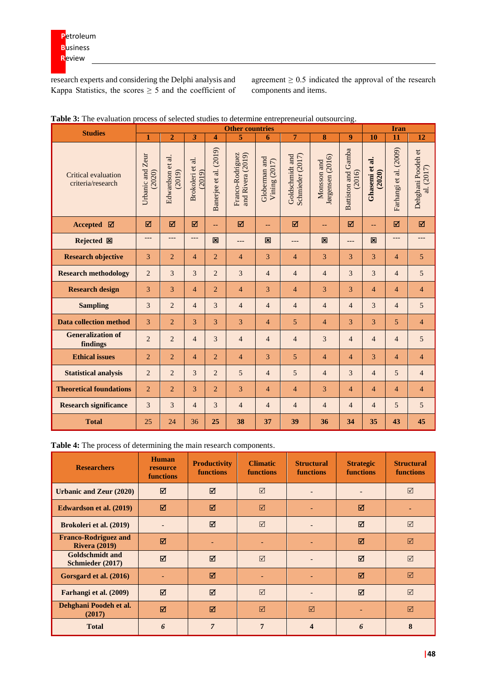research experts and considering the Delphi analysis and Kappa Statistics, the scores  $\geq$  5 and the coefficient of agreement  $\geq 0.5$  indicated the approval of the research components and items.

| <b>Studies</b>                                  | <b>Other countries</b>     |                            |                            |                         |                                       |                                |                                     |                                 | <b>Iran</b>                          |                          |                        |                                  |
|-------------------------------------------------|----------------------------|----------------------------|----------------------------|-------------------------|---------------------------------------|--------------------------------|-------------------------------------|---------------------------------|--------------------------------------|--------------------------|------------------------|----------------------------------|
|                                                 | $\mathbf{1}$               | $\overline{2}$             | 3                          | $\overline{\mathbf{4}}$ | 5                                     | 6                              | $\overline{7}$                      | 8                               | 9                                    | 10                       | 11                     | 12                               |
| <b>Critical evaluation</b><br>criteria/research | Urbanic and Zeur<br>(2020) | Edwardson et al.<br>(2019) | Brokoleri et al.<br>(2019) | Banerjee et al. (2019)  | Franco-Rodriguez<br>and Rivera (2019) | Globerman and<br>Vining (2017) | Schmieder (2017)<br>Goldschmidt and | Jørgensen (2016)<br>Monsson and | <b>Battiston and Gamba</b><br>(2016) | Ghasemi et al.<br>(2020) | Farhangi et al. (2009) | Dehghani Poodeh et<br>al. (2017) |
| <b>Accepted</b><br>☑                            | ☑                          | ☑                          | ☑                          | 44                      | ☑                                     | 44                             | ☑                                   | 44                              | ☑                                    | $-$                      | ☑                      | ☑                                |
| Rejected 図                                      | ---                        | ---                        | ---                        | 図                       | ---                                   | 図                              | ---                                 | 図                               | ---                                  | 図                        | ---                    | ---                              |
| <b>Research objective</b>                       | 3                          | $\overline{2}$             | $\overline{\mathcal{L}}$   | 2                       | $\overline{\mathcal{L}}$              | 3                              | $\overline{4}$                      | 3                               | 3                                    | 3                        | $\overline{4}$         | 5                                |
| <b>Research methodology</b>                     | $\overline{2}$             | 3                          | 3                          | $\overline{c}$          | 3                                     | $\overline{4}$                 | $\overline{4}$                      | $\overline{4}$                  | 3                                    | 3                        | $\overline{4}$         | 5                                |
| <b>Research design</b>                          | 3                          | 3                          | $\overline{4}$             | $\overline{2}$          | $\overline{4}$                        | 3                              | $\overline{4}$                      | 3                               | 3                                    | $\overline{4}$           | $\overline{4}$         | $\overline{4}$                   |
| <b>Sampling</b>                                 | 3                          | 2                          | $\overline{4}$             | 3                       | $\overline{4}$                        | $\overline{4}$                 | $\overline{4}$                      | $\overline{4}$                  | $\overline{4}$                       | 3                        | $\overline{4}$         | 5                                |
| <b>Data collection method</b>                   | 3                          | $\overline{2}$             | 3                          | 3                       | 3                                     | $\overline{4}$                 | 5                                   | $\overline{4}$                  | 3                                    | 3                        | 5                      | $\overline{4}$                   |
| <b>Generalization of</b><br>findings            | $\overline{2}$             | 2                          | $\overline{4}$             | 3                       | $\overline{4}$                        | $\overline{4}$                 | $\overline{4}$                      | 3                               | $\overline{4}$                       | $\overline{4}$           | $\overline{4}$         | 5                                |
| <b>Ethical issues</b>                           | $\overline{2}$             | $\overline{2}$             | 4                          | $\overline{2}$          | $\overline{4}$                        | 3                              | $\overline{5}$                      | $\overline{4}$                  | $\overline{4}$                       | 3                        | $\overline{4}$         | $\overline{4}$                   |
| <b>Statistical analysis</b>                     | $\overline{2}$             | 2                          | 3                          | $\overline{2}$          | 5                                     | $\overline{4}$                 | $\overline{5}$                      | $\overline{4}$                  | 3                                    | $\overline{4}$           | 5                      | $\overline{4}$                   |
| <b>Theoretical foundations</b>                  | $\overline{2}$             | $\overline{2}$             | 3                          | $\overline{2}$          | 3                                     | 4                              | $\overline{4}$                      | 3                               | 4                                    | $\overline{4}$           | $\overline{4}$         | 4                                |
| <b>Research significance</b>                    | 3                          | 3                          | $\overline{4}$             | 3                       | 4                                     | $\overline{4}$                 | $\overline{4}$                      | $\overline{4}$                  | 4                                    | $\overline{4}$           | 5                      | 5                                |
| <b>Total</b>                                    | 25                         | 24                         | 36                         | 25                      | 38                                    | 37                             | 39                                  | 36                              | 34                                   | 35                       | 43                     | 45                               |

| Table 3: The evaluation process of selected studies to determine entrepreneurial outsourcing. |  |  |  |
|-----------------------------------------------------------------------------------------------|--|--|--|
|                                                                                               |  |  |  |
|                                                                                               |  |  |  |

**Table 4:** The process of determining the main research components.

| <b>Researchers</b>                                  | <b>Human</b><br>resource<br>functions | <b>Productivity</b><br><b>functions</b> | <b>Climatic</b><br><b>functions</b> | <b>Structural</b><br><b>functions</b> | <b>Strategic</b><br><b>functions</b> | <b>Structural</b><br><b>functions</b> |
|-----------------------------------------------------|---------------------------------------|-----------------------------------------|-------------------------------------|---------------------------------------|--------------------------------------|---------------------------------------|
| <b>Urbanic and Zeur (2020)</b>                      | ☑                                     | ☑                                       | $\triangledown$                     |                                       |                                      | $\triangledown$                       |
| Edwardson et al. (2019)                             | $\triangledown$                       | М                                       | $\triangledown$                     |                                       | ⊠                                    |                                       |
| Brokoleri et al. (2019)                             |                                       | ☑                                       | $\triangledown$                     |                                       | ☑                                    | $\triangledown$                       |
| <b>Franco-Rodriguez and</b><br><b>Rivera (2019)</b> | ☑                                     |                                         |                                     |                                       | ☑                                    | $\triangledown$                       |
| <b>Goldschmidt and</b><br>Schmieder (2017)          | ⊠                                     | ☑                                       | $\triangledown$                     |                                       | ☑                                    | ☑                                     |
| Gorsgard et al. (2016)                              |                                       | ☑                                       |                                     |                                       | ☑                                    | $\triangledown$                       |
| Farhangi et al. (2009)                              | ⊠                                     | ☑                                       | $\triangledown$                     |                                       | ☑                                    | $\triangledown$                       |
| Dehghani Poodeh et al.<br>(2017)                    | ☑                                     | ☑                                       | $\triangledown$                     | ⊠                                     |                                      | ☑                                     |
| <b>Total</b>                                        | 6                                     | $\overline{7}$                          | 7                                   | Δ                                     | 6                                    | 8                                     |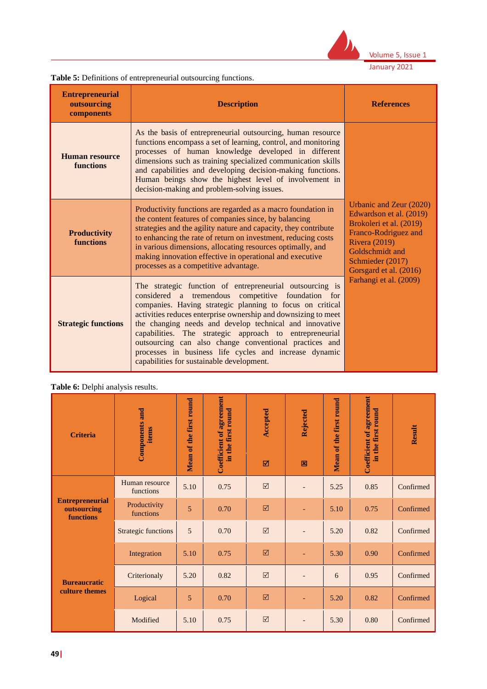

Volume 5, Issue 1

January 2021

| <b>Entrepreneurial</b><br>outsourcing<br>components | <b>Description</b>                                                                                                                                                                                                                                                                                                                                                                                                                                                                                                                   | <b>References</b>                                                                                                                                                                              |
|-----------------------------------------------------|--------------------------------------------------------------------------------------------------------------------------------------------------------------------------------------------------------------------------------------------------------------------------------------------------------------------------------------------------------------------------------------------------------------------------------------------------------------------------------------------------------------------------------------|------------------------------------------------------------------------------------------------------------------------------------------------------------------------------------------------|
| Human resource<br><b>functions</b>                  | As the basis of entrepreneurial outsourcing, human resource<br>functions encompass a set of learning, control, and monitoring<br>processes of human knowledge developed in different<br>dimensions such as training specialized communication skills<br>and capabilities and developing decision-making functions.<br>Human beings show the highest level of involvement in<br>decision-making and problem-solving issues.                                                                                                           |                                                                                                                                                                                                |
| <b>Productivity</b><br><b>functions</b>             | Productivity functions are regarded as a macro foundation in<br>the content features of companies since, by balancing<br>strategies and the agility nature and capacity, they contribute<br>to enhancing the rate of return on investment, reducing costs<br>in various dimensions, allocating resources optimally, and<br>making innovation effective in operational and executive<br>processes as a competitive advantage.                                                                                                         | Urbanic and Zeur (2020)<br>Edwardson et al. (2019)<br>Brokoleri et al. (2019)<br>Franco-Rodriguez and<br><b>Rivera</b> (2019)<br>Goldschmidt and<br>Schmieder (2017)<br>Gorsgard et al. (2016) |
| <b>Strategic functions</b>                          | The strategic function of entrepreneurial outsourcing is<br>considered a tremendous competitive foundation for<br>companies. Having strategic planning to focus on critical<br>activities reduces enterprise ownership and downsizing to meet<br>the changing needs and develop technical and innovative<br>capabilities. The strategic approach to entrepreneurial<br>outsourcing can also change conventional practices and<br>processes in business life cycles and increase dynamic<br>capabilities for sustainable development. | Farhangi et al. (2009)                                                                                                                                                                         |

# **Table 6:** Delphi analysis results.

**Table 5:** Definitions of entrepreneurial outsourcing functions.

| <b>Criteria</b>                                    | <b>Components and</b><br>items | Mean of the first round | <b>Coefficient of agreement</b><br>in the first round | Accepted<br>☑         | Rejected<br>図            | Mean of the first round | <b>Coefficient of agreement</b><br>in the first round | Result    |
|----------------------------------------------------|--------------------------------|-------------------------|-------------------------------------------------------|-----------------------|--------------------------|-------------------------|-------------------------------------------------------|-----------|
| <b>Entrepreneurial</b><br>outsourcing<br>functions | Human resource<br>functions    | 5.10                    | 0.75                                                  | $\boxed{\mathcal{S}}$ | $\overline{a}$           | 5.25                    | 0.85                                                  | Confirmed |
|                                                    | Productivity<br>functions      | 5                       | 0.70                                                  | $\boxtimes$           | ٠                        | 5.10                    | 0.75                                                  | Confirmed |
|                                                    | <b>Strategic functions</b>     | 5                       | 0.70                                                  | $\triangledown$       | ٠                        | 5.20                    | 0.82                                                  | Confirmed |
|                                                    | Integration                    | 5.10                    | 0.75                                                  | $\boxtimes$           |                          | 5.30                    | 0.90                                                  | Confirmed |
| <b>Bureaucratic</b><br>culture themes              | Criterionaly                   | 5.20                    | 0.82                                                  | $\boxed{\mathcal{S}}$ | $\overline{\phantom{0}}$ | 6                       | 0.95                                                  | Confirmed |
|                                                    | Logical                        | 5                       | 0.70                                                  | $\boxtimes$           |                          | 5.20                    | 0.82                                                  | Confirmed |
|                                                    | Modified                       | 5.10                    | 0.75                                                  | $\boxed{\text{V}}$    | $\overline{\phantom{0}}$ | 5.30                    | 0.80                                                  | Confirmed |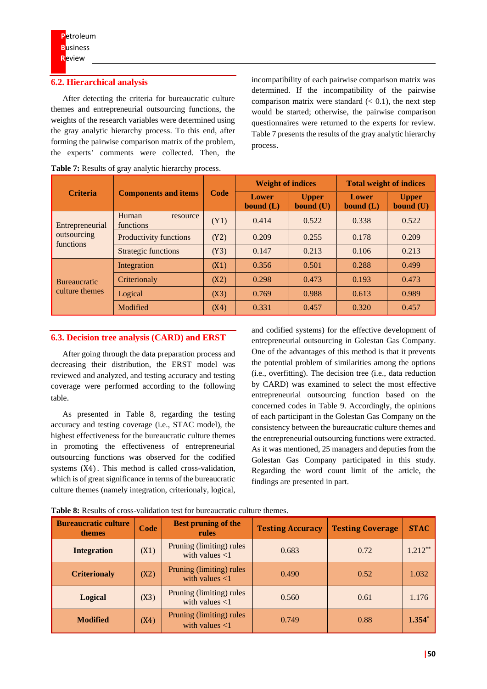#### **6.2. Hierarchical analysis**

After detecting the criteria for bureaucratic culture themes and entrepreneurial outsourcing functions, the weights of the research variables were determined using the gray analytic hierarchy process. To this end, after forming the pairwise comparison matrix of the problem, the experts' comments were collected. Then, the incompatibility of each pairwise comparison matrix was determined. If the incompatibility of the pairwise comparison matrix were standard  $( $0.1$ ), the next step$ would be started; otherwise, the pairwise comparison questionnaires were returned to the experts for review. Table 7 presents the results of the gray analytic hierarchy process.

|                                |                                |      | <b>Weight of indices</b>    |                             | <b>Total weight of indices</b> |                             |  |
|--------------------------------|--------------------------------|------|-----------------------------|-----------------------------|--------------------------------|-----------------------------|--|
| <b>Criteria</b>                | <b>Components and items</b>    | Code | <b>Lower</b><br>bound $(L)$ | <b>Upper</b><br>bound $(U)$ | <b>Lower</b><br>bound $(L)$    | <b>Upper</b><br>bound $(U)$ |  |
| Entrepreneurial<br>outsourcing | Human<br>resource<br>functions | (Y1) | 0.414                       | 0.522                       | 0.338                          | 0.522                       |  |
|                                | Productivity functions         | (Y2) | 0.209                       | 0.255                       | 0.178                          | 0.209                       |  |
| functions                      | Strategic functions            | (Y3) | 0.147                       | 0.213                       | 0.106                          | 0.213                       |  |
|                                | Integration                    | (X1) | 0.356                       | 0.501                       | 0.288                          | 0.499                       |  |
| <b>Bureaucratic</b>            | Criterionaly                   | (X2) | 0.298                       | 0.473                       | 0.193                          | 0.473                       |  |
| culture themes                 | Logical                        | (X3) | 0.769                       | 0.988                       | 0.613                          | 0.989                       |  |
|                                | Modified                       | (X4) | 0.331                       | 0.457                       | 0.320                          | 0.457                       |  |

**Table 7:** Results of gray analytic hierarchy process.

#### **6.3. Decision tree analysis (CARD) and ERST**

After going through the data preparation process and decreasing their distribution, the ERST model was reviewed and analyzed, and testing accuracy and testing coverage were performed according to the following table.

As presented in Table 8, regarding the testing accuracy and testing coverage (i.e., STAC model), the highest effectiveness for the bureaucratic culture themes in promoting the effectiveness of entrepreneurial outsourcing functions was observed for the codified systems (X4). This method is called cross-validation, which is of great significance in terms of the bureaucratic culture themes (namely integration, criterionaly, logical,

**Logical** (X3)

**Modified** (X4)

and codified systems) for the effective development of entrepreneurial outsourcing in Golestan Gas Company. One of the advantages of this method is that it prevents the potential problem of similarities among the options (i.e., overfitting). The decision tree (i.e., data reduction by CARD) was examined to select the most effective entrepreneurial outsourcing function based on the concerned codes in Table 9. Accordingly, the opinions of each participant in the Golestan Gas Company on the consistency between the bureaucratic culture themes and the entrepreneurial outsourcing functions were extracted. As it was mentioned, 25 managers and deputies from the Golestan Gas Company participated in this study. Regarding the word count limit of the article, the findings are presented in part.

 $\frac{\text{mng (minung) rules}}{\text{with values} < 1}$  0.560 0.61 1.176

with values <1 0.749 0.88 **1.354<sup>\*</sup>** 

| <b>Bureaucratic culture</b><br>themes | Code | <b>Best pruning of the</b><br>rules           | <b>Testing Accuracy</b> | <b>Testing Coverage</b> | <b>STAC</b> |
|---------------------------------------|------|-----------------------------------------------|-------------------------|-------------------------|-------------|
| <b>Integration</b>                    | (X1) | Pruning (limiting) rules<br>with values $<$ 1 | 0.683                   | 0.72                    | $1.212**$   |
| <b>Criterionaly</b>                   | (X2) | Pruning (limiting) rules<br>with values $<$ 1 | 0.490                   | 0.52                    | 1.032       |

Pruning (limiting) rules

Pruning (limiting) rules

**Table 8:** Results of cross-validation test for bureaucratic culture themes.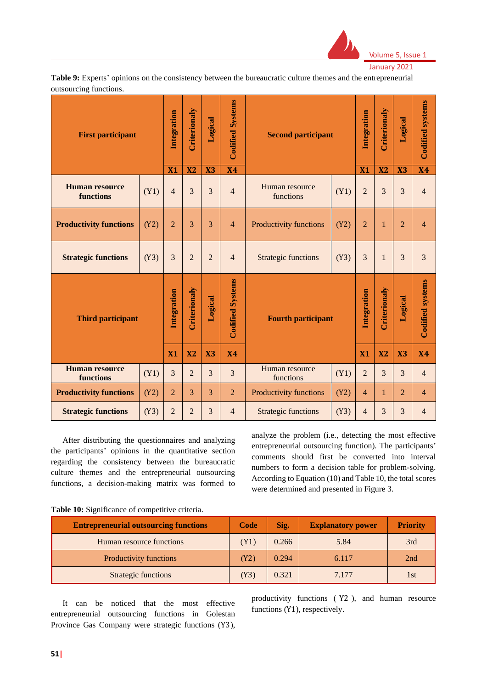

Volume 5, Issue 1 January 2021

**Table 9:** Experts' opinions on the consistency between the bureaucratic culture themes and the entrepreneurial outsourcing functions.

| <b>First participant</b>           |      | Integration    | Criterionaly   | Logical        | <b>Codified Systems</b> | <b>Second participant</b>           |      |                | Integration    |                |                         | Criterionaly | Logical | <b>Codified systems</b> |
|------------------------------------|------|----------------|----------------|----------------|-------------------------|-------------------------------------|------|----------------|----------------|----------------|-------------------------|--------------|---------|-------------------------|
|                                    |      | X1             | X <sub>2</sub> | X3             | <b>X4</b>               |                                     |      | X1             | X <sub>2</sub> | X3             | <b>X4</b>               |              |         |                         |
| <b>Human resource</b><br>functions | (Y1) | $\overline{4}$ | 3              | 3              | $\overline{4}$          | Human resource<br>functions         | (Y1) | $\overline{2}$ | 3              | 3              | $\overline{4}$          |              |         |                         |
| <b>Productivity functions</b>      | (Y2) | $\overline{2}$ | 3              | 3              | $\overline{4}$          | Productivity functions              | (Y2) | $\overline{2}$ | 1              | $\overline{2}$ | $\overline{4}$          |              |         |                         |
| <b>Strategic functions</b>         | (Y3) | 3              | $\overline{2}$ | $\overline{2}$ | $\overline{4}$          | <b>Strategic functions</b>          | (Y3) | $\overline{3}$ | $\mathbf{1}$   | 3              | $\overline{3}$          |              |         |                         |
| <b>Third participant</b>           |      | Integration    | Criterionaly   | Logical        | <b>Codified Systems</b> | <b>Fourth participant</b>           |      | Integration    | Criterionaly   | Logical        | <b>Codified systems</b> |              |         |                         |
|                                    |      | <b>X1</b>      | X <sub>2</sub> | X3             | <b>X4</b>               |                                     |      |                | <b>X2</b>      | X3             | <b>X4</b>               |              |         |                         |
| <b>Human resource</b><br>functions | (Y1) | 3              | $\overline{2}$ | 3              | $\overline{3}$          | Human resource<br>(Y1)<br>functions |      | $\overline{2}$ | 3              | 3              | $\overline{4}$          |              |         |                         |
| <b>Productivity functions</b>      | (Y2) | $\overline{2}$ | $\overline{3}$ | $\overline{3}$ | $\overline{2}$          | Productivity functions              | (Y2) | $\overline{4}$ | 1              | $\overline{2}$ | $\overline{4}$          |              |         |                         |
| <b>Strategic functions</b>         | (Y3) | $\overline{2}$ | $\overline{2}$ | 3              | $\overline{4}$          | <b>Strategic functions</b>          | (Y3) | $\overline{4}$ | 3              | 3              | $\overline{4}$          |              |         |                         |

After distributing the questionnaires and analyzing the participants' opinions in the quantitative section regarding the consistency between the bureaucratic culture themes and the entrepreneurial outsourcing functions, a decision-making matrix was formed to analyze the problem (i.e., detecting the most effective entrepreneurial outsourcing function). The participants' comments should first be converted into interval numbers to form a decision table for problem-solving. According to Equation (10) and Table 10, the total scores were determined and presented in Figure 3.

|  |  |  | Table 10: Significance of competitive criteria. |  |  |  |
|--|--|--|-------------------------------------------------|--|--|--|
|--|--|--|-------------------------------------------------|--|--|--|

| <b>Entrepreneurial outsourcing functions</b> | Code              | Sig.  | <b>Explanatory power</b> | <b>Priority</b> |
|----------------------------------------------|-------------------|-------|--------------------------|-----------------|
| Human resource functions                     | (Y1)              | 0.266 | 5.84                     | 3rd             |
| Productivity functions                       | (Y <sub>2</sub> ) | 0.294 | 6.117                    | 2nd             |
| <b>Strategic functions</b>                   | (Y3)              | 0.321 | 7 177                    | 1st             |

It can be noticed that the most effective entrepreneurial outsourcing functions in Golestan Province Gas Company were strategic functions (Y3),

productivity functions ( Y2 ), and human resource functions (Y1), respectively.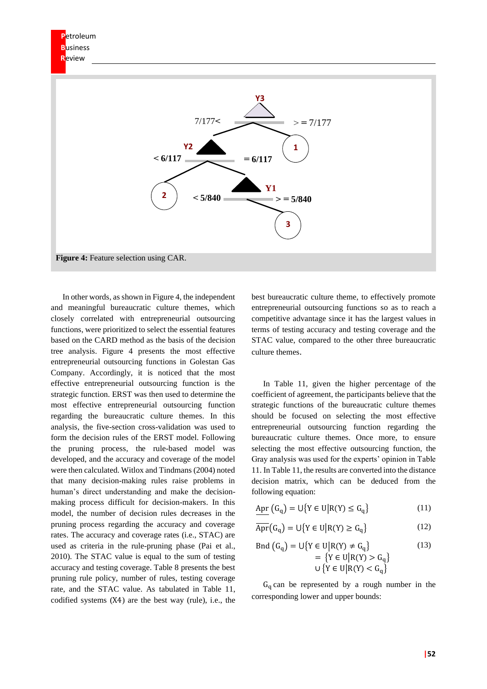

In other words, as shown in Figure 4, the independent and meaningful bureaucratic culture themes, which closely correlated with entrepreneurial outsourcing functions, were prioritized to select the essential features based on the CARD method as the basis of the decision tree analysis. Figure 4 presents the most effective entrepreneurial outsourcing functions in Golestan Gas Company. Accordingly, it is noticed that the most effective entrepreneurial outsourcing function is the strategic function. ERST was then used to determine the most effective entrepreneurial outsourcing function regarding the bureaucratic culture themes. In this analysis, the five-section cross-validation was used to form the decision rules of the ERST model. Following the pruning process, the rule-based model was developed, and the accuracy and coverage of the model were then calculated. Witlox and Tindmans (2004) noted that many decision-making rules raise problems in human's direct understanding and make the decisionmaking process difficult for decision-makers. In this model, the number of decision rules decreases in the pruning process regarding the accuracy and coverage rates. The accuracy and coverage rates (i.e., STAC) are used as criteria in the rule-pruning phase (Pai et al., 2010). The STAC value is equal to the sum of testing accuracy and testing coverage. Table 8 presents the best pruning rule policy, number of rules, testing coverage rate, and the STAC value. As tabulated in Table 11, codified systems (X4) are the best way (rule), i.e., the

best bureaucratic culture theme, to effectively promote entrepreneurial outsourcing functions so as to reach a competitive advantage since it has the largest values in terms of testing accuracy and testing coverage and the STAC value, compared to the other three bureaucratic culture themes.

In Table 11, given the higher percentage of the coefficient of agreement, the participants believe that the strategic functions of the bureaucratic culture themes should be focused on selecting the most effective entrepreneurial outsourcing function regarding the bureaucratic culture themes. Once more, to ensure selecting the most effective outsourcing function, the Gray analysis was used for the experts' opinion in Table 11. In Table 11, the results are converted into the distance decision matrix, which can be deduced from the following equation:

$$
\underline{\mathrm{Apr}}\left(\mathrm{G_q}\right)=\mathrm{U}\big\{Y\in\mathrm{U}\big|R(Y)\leq\mathrm{G_q}\big\}\tag{11}
$$

$$
\overline{\mathrm{Apr}}\big(\mathrm{G}_{\mathrm{q}}\big)=\cup\big\{Y\in\mathrm{U}\big|\mathrm{R}(Y)\geq\mathrm{G}_{\mathrm{q}}\big\}\tag{12}
$$

End 
$$
(G_q) = \bigcup \{ Y \in U | R(Y) \neq G_q \}
$$

\n
$$
= \{ Y \in U | R(Y) > G_q \}
$$
\n
$$
\bigcup \{ Y \in U | R(Y) < G_q \}
$$
\n(13)

 $G_q$  can be represented by a rough number in the corresponding lower and upper bounds: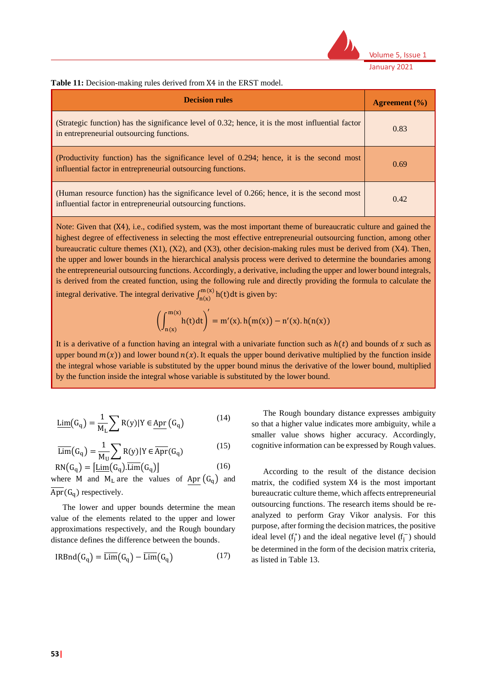

**Table 11:** Decision-making rules derived from X4 in the ERST model.

| <b>Decision rules</b>                                                                                                                                       | Agreement $(\% )$ |
|-------------------------------------------------------------------------------------------------------------------------------------------------------------|-------------------|
| (Strategic function) has the significance level of 0.32; hence, it is the most influential factor<br>in entrepreneurial outsourcing functions.              | 0.83              |
| (Productivity function) has the significance level of 0.294; hence, it is the second most<br>influential factor in entrepreneurial outsourcing functions.   | 0.69              |
| (Human resource function) has the significance level of 0.266; hence, it is the second most<br>influential factor in entrepreneurial outsourcing functions. | 0.42              |

Note: Given that  $(X4)$ , i.e., codified system, was the most important theme of bureaucratic culture and gained the highest degree of effectiveness in selecting the most effective entrepreneurial outsourcing function, among other bureaucratic culture themes (X1), (X2), and (X3), other decision-making rules must be derived from (X4). Then, the upper and lower bounds in the hierarchical analysis process were derived to determine the boundaries among the entrepreneurial outsourcing functions. Accordingly, a derivative, including the upper and lower bound integrals, is derived from the created function, using the following rule and directly providing the formula to calculate the integral derivative. The integral derivative  $\int_{n(x)}^{m(x)} h(t) dt$  is given by:

$$
\left(\int_{n(x)}^{m(x)}h(t)dt\right)'=m'(x).h\big(m(x)\big)-n'(x).h(n(x))
$$

It is a derivative of a function having an integral with a univariate function such as  $h(t)$  and bounds of x such as upper bound  $m(x)$ ) and lower bound  $n(x)$ . It equals the upper bound derivative multiplied by the function inside the integral whose variable is substituted by the upper bound minus the derivative of the lower bound, multiplied by the function inside the integral whose variable is substituted by the lower bound.

$$
\underline{\text{Lim}}(G_q) = \frac{1}{M_L} \sum R(y) | Y \in \underline{\text{Apr}}(G_q)
$$
\n(14)

$$
\overline{\text{Lim}}(G_q) = \frac{1}{M_U} \sum_{\text{N}} R(y) | Y \in \overline{\text{Apr}}(G_q)
$$
\n(15)

$$
RN(G_q) = [\underline{\text{Lim}}(G_q).\overline{\text{Lim}}(G_q)] \tag{16}
$$
  
where M and M are the values of  $\text{Arr}(G)$  are

where M and  $M<sub>L</sub>$  are the values of Apr  $(G<sub>a</sub>)$  and  $\overline{\text{Apr}}(G_q)$  respectively.

The lower and upper bounds determine the mean value of the elements related to the upper and lower approximations respectively, and the Rough boundary distance defines the difference between the bounds.

$$
IRBnd(G_q) = \overline{\text{Lim}}(G_q) - \overline{\text{Lim}}(G_q)
$$
 (17)

The Rough boundary distance expresses ambiguity so that a higher value indicates more ambiguity, while a smaller value shows higher accuracy. Accordingly, cognitive information can be expressed by Rough values.

According to the result of the distance decision matrix, the codified system X4 is the most important bureaucratic culture theme, which affects entrepreneurial outsourcing functions. The research items should be reanalyzed to perform Gray Vikor analysis. For this purpose, after forming the decision matrices, the positive ideal level  $(f_j^*)$  and the ideal negative level  $(f_j^-)$  should be determined in the form of the decision matrix criteria, as listed in Table 13.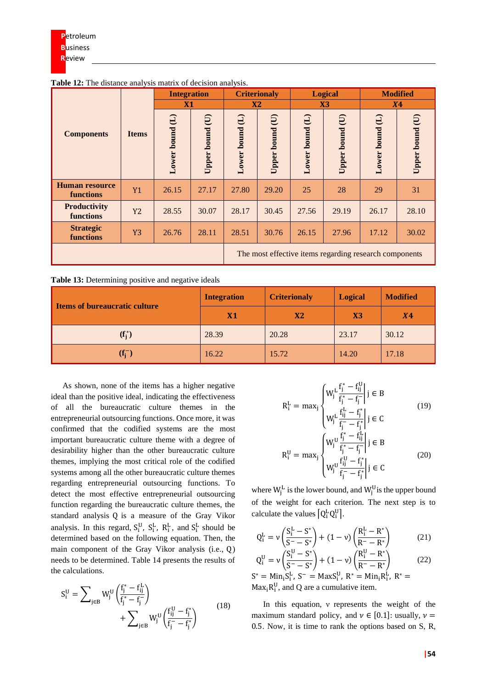|                                    |                | <b>Integration</b>         |                   |                         | <b>Criterionaly</b>  |                               | <b>Logical</b>          |                                                        | <b>Modified</b> |  |
|------------------------------------|----------------|----------------------------|-------------------|-------------------------|----------------------|-------------------------------|-------------------------|--------------------------------------------------------|-----------------|--|
|                                    |                | X1                         |                   | <b>X2</b>               |                      | X3                            |                         | <b>X4</b>                                              |                 |  |
| <b>Components</b>                  | <b>Items</b>   | $\Theta$<br>bound<br>Lower | E)<br>Upper bound | $\Theta$<br>Lower bound | (U<br>bound<br>Upper | $\bigoplus$<br>bound<br>Lower | $\Theta$<br>Upper bound | $\ominus$<br>bound<br>Lower                            | Upper bound (U) |  |
| <b>Human resource</b><br>functions | <b>Y1</b>      | 26.15                      | 27.17             | 27.80                   | 29.20                | 25                            | 28                      | 29                                                     | 31              |  |
| <b>Productivity</b><br>functions   | Y2             | 28.55                      | 30.07             | 28.17                   | 30.45                | 27.56                         | 29.19                   | 26.17                                                  | 28.10           |  |
| <b>Strategic</b><br>functions      | Y <sub>3</sub> | 26.76                      | 28.11             | 28.51                   | 30.76                | 26.15                         | 27.96                   | 17.12                                                  | 30.02           |  |
|                                    |                |                            |                   |                         |                      |                               |                         | The most effective items regarding research components |                 |  |

**Table 12:** The distance analysis matrix of decision analysis.

|  |  | Table 13: Determining positive and negative ideals |  |  |  |
|--|--|----------------------------------------------------|--|--|--|
|  |  |                                                    |  |  |  |

| I Items of bureaucratic culture | <b>Integration</b> | <b>Criterionaly</b> | <b>Logical</b> | <b>Modified</b> |
|---------------------------------|--------------------|---------------------|----------------|-----------------|
|                                 | X1                 | X <sub>2</sub>      | X <sub>3</sub> | <b>X4</b>       |
| $(f_i^*)$                       | 28.39              | 20.28               | 23.17          | 30.12           |
| $(f_i^-)$                       | 16.22              | 15.72               | 14.20          | 17.18           |

As shown, none of the items has a higher negative ideal than the positive ideal, indicating the effectiveness of all the bureaucratic culture themes in the entrepreneurial outsourcing functions. Once more, it was confirmed that the codified systems are the most important bureaucratic culture theme with a degree of desirability higher than the other bureaucratic culture themes, implying the most critical role of the codified systems among all the other bureaucratic culture themes regarding entrepreneurial outsourcing functions. To detect the most effective entrepreneurial outsourcing function regarding the bureaucratic culture themes, the standard analysis Q is a measure of the Gray Vikor analysis. In this regard,  $S_i^U$ ,  $S_i^L$ ,  $R_i^L$ , and  $S_i^L$  should be determined based on the following equation. Then, the main component of the Gray Vikor analysis (i.e., Q) needs to be determined. Table 14 presents the results of the calculations.

$$
S_i^U = \sum_{j \in B} W_j^U \left( \frac{f_j^* - f_{ij}^L}{f_j^* - f_j^-} \right) + \sum_{j \in B} W_j^U \left( \frac{f_{ij}^U - f_j^*}{f_j^- - f_j^*} \right)
$$
(18)

$$
R_{i}^{L} = \max_{j} \begin{cases} W_{j}^{L} \frac{f_{j}^{*} - f_{ij}^{U}}{f_{j}^{*} - f_{j}^{-}} | j \in B \\ W_{j}^{L} \frac{f_{ij}^{L} - f_{j}^{*}}{f_{j}^{-} - f_{j}^{*}} | j \in C \end{cases}
$$
\n
$$
R_{i}^{U} = \max_{j} \begin{cases} W_{j}^{U} \frac{f_{j}^{*} - f_{ij}^{L}}{f_{j}^{*} - f_{j}^{-}} | j \in B \\ W_{j}^{U} \frac{f_{ij}^{U} - f_{j}^{*}}{f_{j}^{-} - f_{j}^{*}} | j \in C \end{cases}
$$
\n(20)

where  $W_j^L$  is the lower bound, and  $W_j^U$  is the upper bound of the weight for each criterion. The next step is to calculate the values  $[Q_i^L Q_i^U]$ .

$$
Q_i^L = \nu \left( \frac{S_i^L - S^*}{S^* - S^*} \right) + (1 - \nu) \left( \frac{R_i^L - R^*}{R^* - R^*} \right) \tag{21}
$$

$$
Q_i^U = v \left( \frac{S_i^U - S^*}{S^- - S^*} \right) + (1 - v) \left( \frac{R_i^U - R^*}{R^- - R^*} \right)
$$
(22)  

$$
S^* - \text{Min } S_i^L S^- - \text{Max } S_i^U R^* - \text{Min } R_i^L R^* -
$$

 $S^* = Min_i S_i^L$ ,  $S^- = MaxS_i^U$ ,  $R^* = Min_i R_i^L$ ,  $R^* =$  $Max_i R_i^U$ , and Q are a cumulative item.

In this equation, ν represents the weight of the maximum standard policy, and  $\nu \in [0.1]$ : usually,  $\nu =$ 0.5. Now, it is time to rank the options based on S, R,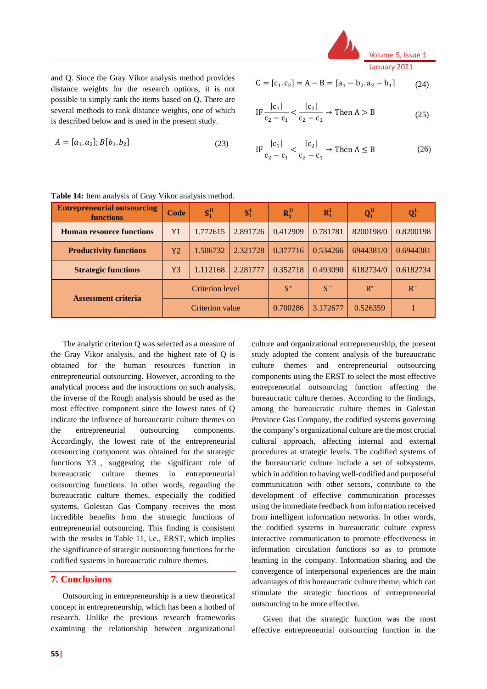

and Q. Since the Gray Vikor analysis method provides distance weights for the research options, it is not possible to simply rank the items based on Q. There are several methods to rank distance weights, one of which is described below and is used in the present study.

$$
A = [a_1, a_2]; B[b_1, b_2]
$$
 (23)

$$
C = [c_1, c_2] = A - B = [a_1 - b_2, a_2 - b_1]
$$
 (24)

IF 
$$
\frac{|c_1|}{c_2 - c_1} < \frac{|c_2|}{c_2 - c_1} \rightarrow \text{Then } A > B
$$
 (25)

$$
IF \frac{|c_1|}{c_2 - c_1} < \frac{|c_2|}{c_2 - c_1} \to \text{Then } A \le B
$$
 (26)

| <b>Entrepreneurial outsourcing</b><br><b>functions</b> | Code           | $S_i^U$         | $S_i^L$  | $R_i^U$  | $R_i^L$  | $Q_i^U$   | $Q_i^L$   |
|--------------------------------------------------------|----------------|-----------------|----------|----------|----------|-----------|-----------|
| <b>Human resource functions</b>                        | Y1             | 1.772615        | 2.891726 | 0.412909 | 0.781781 | 8200198/0 | 0.8200198 |
| <b>Productivity functions</b>                          | Y2             | 1.506732        | 2.321728 | 0.377716 | 0.534266 | 6944381/0 | 0.6944381 |
| <b>Strategic functions</b>                             | Y <sub>3</sub> | 1.112168        | 2.281777 | 0.352718 | 0.493090 | 6182734/0 | 0.6182734 |
| <b>Assessment criteria</b>                             |                | Criterion level |          | $S^*$    | $S^-$    | $R^*$     | $R^-$     |
|                                                        |                | Criterion value |          | 0.700286 | 3.172677 | 0.526359  |           |

**Table 14:** Item analysis of Gray Vikor analysis method.

The analytic criterion Q was selected as a measure of the Gray Vikor analysis, and the highest rate of Q is obtained for the human resources function in entrepreneurial outsourcing. However, according to the analytical process and the instructions on such analysis, the inverse of the Rough analysis should be used as the most effective component since the lowest rates of Q indicate the influence of bureaucratic culture themes on the entrepreneurial outsourcing components. Accordingly, the lowest rate of the entrepreneurial outsourcing component was obtained for the strategic functions Y3 , suggesting the significant role of bureaucratic culture themes in entrepreneurial outsourcing functions. In other words, regarding the bureaucratic culture themes, especially the codified systems, Golestan Gas Company receives the most incredible benefits from the strategic functions of entrepreneurial outsourcing. This finding is consistent with the results in Table 11, i.e., ERST, which implies the significance of strategic outsourcing functions for the codified systems in bureaucratic culture themes.

### **7. Conclusions**

Outsourcing in entrepreneurship is a new theoretical concept in entrepreneurship, which has been a hotbed of research. Unlike the previous research frameworks examining the relationship between organizational

**55|**

culture and organizational entrepreneurship, the present study adopted the content analysis of the bureaucratic culture themes and entrepreneurial outsourcing components using the ERST to select the most effective entrepreneurial outsourcing function affecting the bureaucratic culture themes. According to the findings, among the bureaucratic culture themes in Golestan Province Gas Company, the codified systems governing the company's organizational culture are the most crucial cultural approach, affecting internal and external procedures at strategic levels. The codified systems of the bureaucratic culture include a set of subsystems, which in addition to having well-codified and purposeful communication with other sectors, contribute to the development of effective communication processes using the immediate feedback from information received from intelligent information networks. In other words, the codified systems in bureaucratic culture express interactive communication to promote effectiveness in information circulation functions so as to promote learning in the company. Information sharing and the convergence of interpersonal experiences are the main advantages of this bureaucratic culture theme, which can stimulate the strategic functions of entrepreneurial outsourcing to be more effective.

Given that the strategic function was the most effective entrepreneurial outsourcing function in the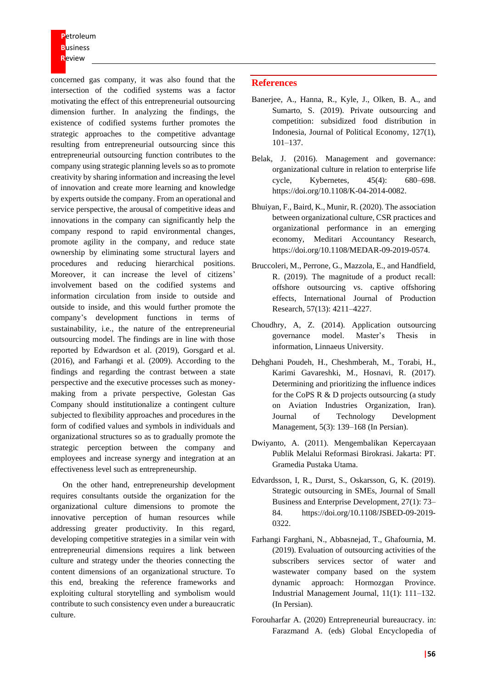**P**etroleum **B**usiness **R**eview

concerned gas company, it was also found that the intersection of the codified systems was a factor motivating the effect of this entrepreneurial outsourcing dimension further. In analyzing the findings, the existence of codified systems further promotes the strategic approaches to the competitive advantage resulting from entrepreneurial outsourcing since this entrepreneurial outsourcing function contributes to the company using strategic planning levels so as to promote creativity by sharing information and increasing the level of innovation and create more learning and knowledge by experts outside the company. From an operational and service perspective, the arousal of competitive ideas and innovations in the company can significantly help the company respond to rapid environmental changes, promote agility in the company, and reduce state ownership by eliminating some structural layers and procedures and reducing hierarchical positions. Moreover, it can increase the level of citizens' involvement based on the codified systems and information circulation from inside to outside and outside to inside, and this would further promote the company's development functions in terms of sustainability, i.e., the nature of the entrepreneurial outsourcing model. The findings are in line with those reported by Edwardson et al. (2019), Gorsgard et al. (2016), and Farhangi et al. (2009). According to the findings and regarding the contrast between a state perspective and the executive processes such as moneymaking from a private perspective, Golestan Gas Company should institutionalize a contingent culture subjected to flexibility approaches and procedures in the form of codified values and symbols in individuals and organizational structures so as to gradually promote the strategic perception between the company and employees and increase synergy and integration at an effectiveness level such as entrepreneurship.

On the other hand, entrepreneurship development requires consultants outside the organization for the organizational culture dimensions to promote the innovative perception of human resources while addressing greater productivity. In this regard, developing competitive strategies in a similar vein with entrepreneurial dimensions requires a link between culture and strategy under the theories connecting the content dimensions of an organizational structure. To this end, breaking the reference frameworks and exploiting cultural storytelling and symbolism would contribute to such consistency even under a bureaucratic culture.

#### **References**

- Banerjee, A., Hanna, R., Kyle, J., Olken, B. A., and Sumarto, S. (2019). Private outsourcing and competition: subsidized food distribution in Indonesia, Journal of Political Economy, 127(1), 101–137.
- Belak, J. (2016). Management and governance: organizational culture in relation to enterprise life cycle, Kybernetes, 45(4): 680–698. [https://doi.org/10.1108/K-04-2014-0082.](https://doi.org/10.1108/K-04-2014-0082)
- Bhuiyan, F., Baird, K., Munir, R. (2020). The association between organizational culture, CSR practices and organizational performance in an emerging economy, Meditari Accountancy Research, [https://doi.org/10.1108/MEDAR-09-2019-0574.](https://doi.org/10.1108/MEDAR-09-2019-0574)
- Bruccoleri, M., Perrone, G., Mazzola, E., and Handfield, R. (2019). The magnitude of a product recall: offshore outsourcing vs. captive offshoring effects, International Journal of Production Research, 57(13): 4211–4227.
- Choudhry, A, Z. (2014). Application outsourcing governance model. Master's Thesis in information, Linnaeus University.
- Dehghani Poudeh, H., Cheshmberah, M., Torabi, H., Karimi Gavareshki, M., Hosnavi, R. (2017). Determining and prioritizing the influence indices for the CoPS R & D projects outsourcing (a study on Aviation Industries Organization, Iran). Journal of Technology Development Management, 5(3): 139–168 (In Persian).
- Dwiyanto, A. (2011). Mengembalikan Kepercayaan Publik Melalui Reformasi Birokrasi. Jakarta: PT. Gramedia Pustaka Utama.
- Edvardsson, I, R., Durst, S., Oskarsson, G, K. (2019). Strategic outsourcing in SMEs, Journal of Small Business and Enterprise Development, 27(1): 73– 84. [https://doi.org/10.1108/JSBED-09-2019-](https://doi.org/10.1108/JSBED-09-2019-0322) [0322.](https://doi.org/10.1108/JSBED-09-2019-0322)
- Farhangi Farghani, N., Abbasnejad, T., Ghafournia, M. (2019). Evaluation of outsourcing activities of the subscribers services sector of water and wastewater company based on the system dynamic approach: Hormozgan Province. Industrial Management Journal, 11(1): 111–132. (In Persian).
- Forouharfar A. (2020) Entrepreneurial bureaucracy. in: Farazmand A. (eds) Global Encyclopedia of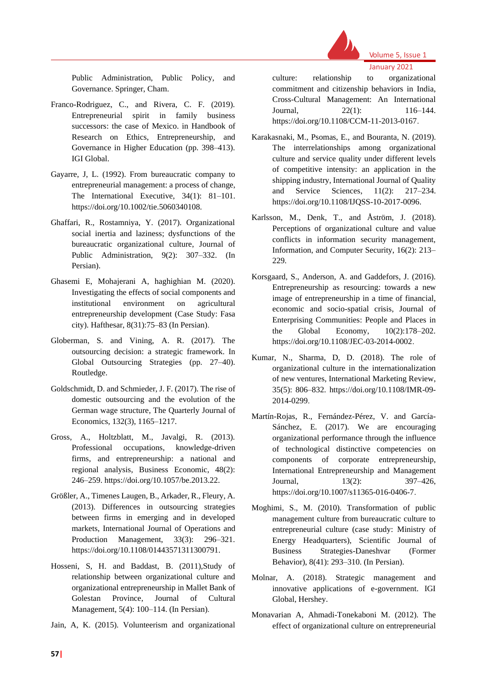

Public Administration, Public Policy, and Governance. Springer, Cham.

- Franco-Rodriguez, C., and Rivera, C. F. (2019). Entrepreneurial spirit in family business successors: the case of Mexico. in Handbook of Research on Ethics, Entrepreneurship, and Governance in Higher Education (pp. 398–413). IGI Global.
- Gayarre, J, L. (1992). From bureaucratic company to entrepreneurial management: a process of change, The International Executive, 34(1): 81–101. https://doi.org/10.1002/tie.5060340108.
- Ghaffari, R., Rostamniya, Y. (2017). Organizational social inertia and laziness; dysfunctions of the bureaucratic organizational culture, Journal of Public Administration, 9(2): 307–332. (In Persian).
- Ghasemi E, Mohajerani A, haghighian M. (2020). Investigating the effects of social components and institutional environment on agricultural entrepreneurship development (Case Study: Fasa city). Hafthesar, 8(31):75–83 (In Persian) .
- Globerman, S. and Vining, A. R. (2017). The outsourcing decision: a strategic framework. In Global Outsourcing Strategies (pp. 27–40). Routledge.
- Goldschmidt, D. and Schmieder, J. F. (2017). The rise of domestic outsourcing and the evolution of the German wage structure, The Quarterly Journal of Economics, 132(3), 1165–1217.
- Gross, A., Holtzblatt, M., Javalgi, R. (2013). Professional occupations, knowledge-driven firms, and entrepreneurship: a national and regional analysis, Business Economic, 48(2): 246–259. [https://doi.org/10.1057/be.2013.22.](https://doi.org/10.1057/be.2013.22)
- Größler, A., Timenes Laugen, B., Arkader, R., Fleury, A. (2013). Differences in outsourcing strategies between firms in emerging and in developed markets, International Journal of Operations and Production Management, 33(3): 296–321. [https://doi.org/10.1108/01443571311300791.](https://doi.org/10.1108/01443571311300791)
- Hosseni, S, H. and Baddast, B. (2011),Study of relationship between organizational culture and organizational entrepreneurship in Mallet Bank of Golestan Province, Journal of Cultural Management, 5(4): 100–114. (In Persian).
- Jain, A, K. (2015). Volunteerism and organizational

January 2021 culture: relationship to organizational commitment and citizenship behaviors in India, Cross-Cultural Management: An International Journal, 22(1): 116–144. [https://doi.org/10.1108/CCM-11-2013-0167 .](https://doi.org/10.1108/CCM-11-2013-0167)

Volume 5, Issue 1

- Karakasnaki, M., Psomas, E., and Bouranta, N. (2019). The interrelationships among organizational culture and service quality under different levels of competitive intensity: an application in the shipping industry, International Journal of Quality and Service Sciences, 11(2): 217–234. [https://doi.org/10.1108/IJQSS-10-2017-0096.](https://doi.org/10.1108/IJQSS-10-2017-0096)
- Karlsson, M., Denk, T., and Åström, J. (2018). Perceptions of organizational culture and value conflicts in information security management, Information, and Computer Security, 16(2): 213– 229.
- Korsgaard, S., Anderson, A. and Gaddefors, J. (2016). Entrepreneurship as resourcing: towards a new image of entrepreneurship in a time of financial, economic and socio-spatial crisis, Journal of Enterprising Communities: People and Places in the Global Economy, 10(2):178–202. [https://doi.org/10.1108/JEC-03-2014-0002 .](https://doi.org/10.1108/JEC-03-2014-0002)
- Kumar, N., Sharma, D, D. (2018). The role of organizational culture in the internationalization of new ventures, International Marketing Review, 35(5): 806–832. [https://doi.org/10.1108/IMR-09-](https://doi.org/10.1108/IMR-09-2014-0299) [2014-0299.](https://doi.org/10.1108/IMR-09-2014-0299)
- Martín-Rojas, R., Fernández-Pérez, V. and García-Sánchez, E. (2017). We are encouraging organizational performance through the influence of technological distinctive competencies on components of corporate entrepreneurship, International Entrepreneurship and Management Journal, 13(2): 397–426, [https://doi.org/10.1007/s11365-016-0406-7 .](https://doi.org/10.1007/s11365-016-0406-7)
- Moghimi, S., M. (2010). Transformation of public management culture from bureaucratic culture to entrepreneurial culture (case study: Ministry of Energy Headquarters), Scientific Journal of Business Strategies-Daneshvar (Former Behavior), 8(41): 293–310. (In Persian).
- Molnar, A. (2018). Strategic management and innovative applications of e-government. IGI Global, Hershey.
- Monavarian A, Ahmadi-Tonekaboni M. (2012). The effect of organizational culture on entrepreneurial